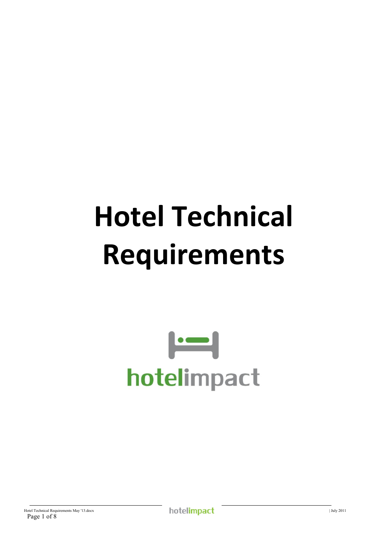# **Hotel Technical Requirements**

## $\left| \cdot \right|$ hotelimpact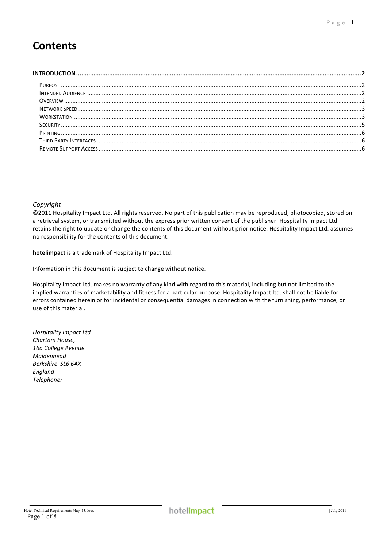## **Contents**

#### *Copyright\**

©2011 Hospitality Impact Ltd. All rights reserved. No part of this publication may be reproduced, photocopied, stored on a retrieval system, or transmitted without the express prior written consent of the publisher. Hospitality Impact Ltd. retains the right to update or change the contents of this document without prior notice. Hospitality Impact Ltd. assumes no responsibility for the contents of this document.

hotelimpact is a trademark of Hospitality Impact Ltd.

Information in this document is subject to change without notice.

Hospitality Impact Ltd. makes no warranty of any kind with regard to this material, including but not limited to the implied warranties of marketability and fitness for a particular purpose. Hospitality Impact Itd. shall not be liable for errors contained herein or for incidental or consequential damages in connection with the furnishing, performance, or use of this material.

*Hospitality\*Impact\*Ltd Chartam\*House,\* 16a\*College\*Avenue Maidenhead\* Berkshire\*\*SL6\*6AX England\* Telephone:\**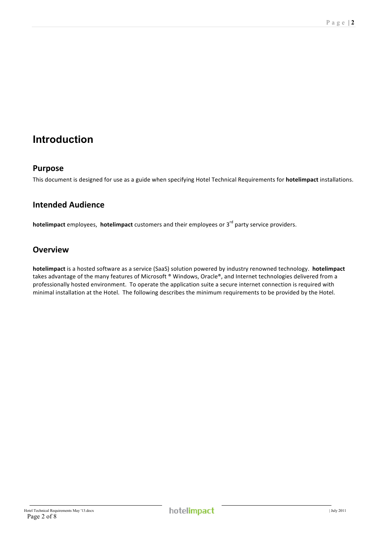## **Introduction**

## **Purpose**

This document is designed for use as a guide when specifying Hotel Technical Requirements for **hotelimpact** installations.

## **Intended!Audience**

**hotelimpact** employees, **hotelimpact** customers and their employees or 3<sup>rd</sup> party service providers.

## **Overview**

hotelimpact is a hosted software as a service (SaaS) solution powered by industry renowned technology. hotelimpact takes advantage of the many features of Microsoft ® Windows, Oracle®, and Internet technologies delivered from a professionally hosted environment. To operate the application suite a secure internet connection is required with minimal installation at the Hotel. The following describes the minimum requirements to be provided by the Hotel.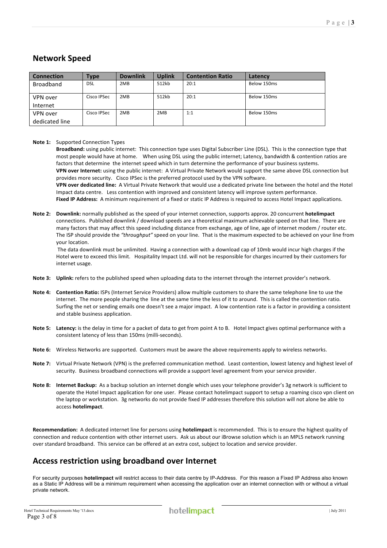## **Network!Speed**

| <b>Connection</b> | Type        | <b>Downlink</b> | <b>Uplink</b> | <b>Contention Ratio</b> | Latency     |
|-------------------|-------------|-----------------|---------------|-------------------------|-------------|
| <b>Broadband</b>  | DSL         | 2MB             | 512kb         | 20:1                    | Below 150ms |
| VPN over          | Cisco IPSec | 2MB             | 512kb         | 20:1                    | Below 150ms |
| Internet          |             |                 |               |                         |             |
| VPN over          | Cisco IPSec | 2MB             | 2MB           | 1:1                     | Below 150ms |
| dedicated line    |             |                 |               |                         |             |

#### **Note 1:** Supported Connection Types

Broadband: using public internet: This connection type uses Digital Subscriber Line (DSL). This is the connection type that most people would have at home. When using DSL using the public internet; Latency, bandwidth & contention ratios are factors that determine the internet speed which in turn determine the performance of your business systems. **VPN over Internet:** using the public internet: A Virtual Private Network would support the same above DSL connection but provides more security. Cisco IPSec is the preferred protocol used by the VPN software. VPN over dedicated line: A Virtual Private Network that would use a dedicated private line between the hotel and the Hotel Impact data centre. Less contention with improved and consistent latency will improve system performance. Fixed IP Address: A minimum requirement of a fixed or static IP Address is required to access Hotel Impact applications.

**Note 2:** Downlink: normally published as the speed of your internet connection, supports approx. 20 concurrent **hotelimpact** connections. Published downlink / download speeds are a theoretical maximum achievable speed on that line. There are many factors that may affect this speed including distance from exchange, age of line, age of internet modem / router etc. The ISP should provide the "throughput" speed on your line. That is the maximum expected to be achieved on your line from your location.

The data downlink must be unlimited. Having a connection with a download cap of 10mb would incur high charges if the Hotel were to exceed this limit. Hospitality Impact Ltd. will not be responsible for charges incurred by their customers for internet usage.

- **Note 3:** Uplink: refers to the published speed when uploading data to the internet through the internet provider's network.
- **Note 4:** Contention Ratio: ISPs (Internet Service Providers) allow multiple customers to share the same telephone line to use the internet. The more people sharing the line at the same time the less of it to around. This is called the contention ratio. Surfing the net or sending emails one doesn't see a major impact. A low contention rate is a factor in providing a consistent and stable business application.
- Note 5: Latency: is the delay in time for a packet of data to get from point A to B. Hotel Impact gives optimal performance with a consistent latency of less than 150ms (milli-seconds).
- Note 6: Wireless Networks are supported. Customers must be aware the above requirements apply to wireless networks.
- Note 7: Virtual Private Network (VPN) is the preferred communication method. Least contention, lowest latency and highest level of security. Business broadband connections will provide a support level agreement from your service provider.
- Note 8: Internet Backup: As a backup solution an internet dongle which uses your telephone provider's 3g network is sufficient to operate the Hotel Impact application for one user. Please contact hotelimpact support to setup a roaming cisco vpn client on the laptop or workstation. 3g networks do not provide fixed IP addresses therefore this solution will not alone be able to access!**hotelimpact**.

**Recommendation:** A dedicated internet line for persons using **hotelimpact** is recommended. This is to ensure the highest quality of connection and reduce contention with other internet users. Ask us about our iBrowse solution which is an MPLS network running over standard broadband. This service can be offered at an extra cost, subject to location and service provider.

## **Access restriction using broadband over Internet**

For security purposes **hotelimpact** will restrict access to their data centre by IP-Address. For this reason a Fixed IP Address also known as a Static IP Address will be a minimum requirement when accessing the application over an internet connection with or without a virtual private network.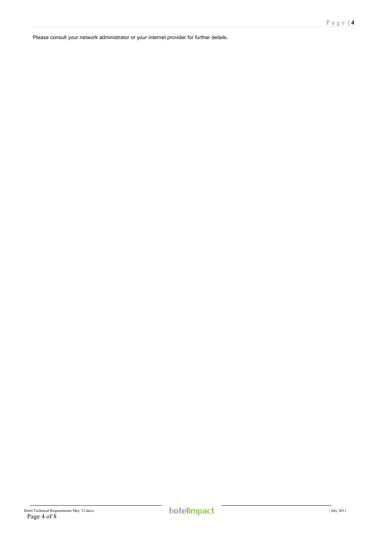Please consult your network administrator or your internet provider for further details.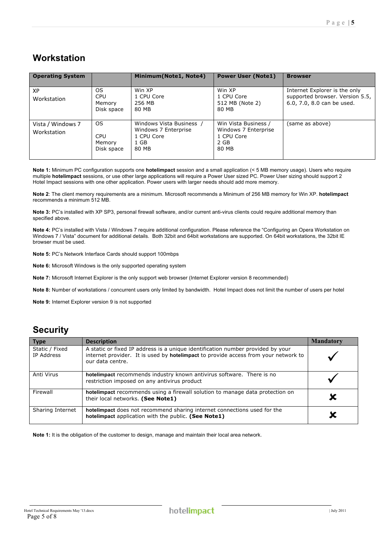## **Workstation**

| <b>Operating System</b>          |                                           | Minimum(Note1, Note4)                                                           | <b>Power User (Note1)</b>                                                   | <b>Browser</b>                                                                                 |
|----------------------------------|-------------------------------------------|---------------------------------------------------------------------------------|-----------------------------------------------------------------------------|------------------------------------------------------------------------------------------------|
| <b>XP</b><br>Workstation         | OS.<br><b>CPU</b><br>Memory<br>Disk space | Win XP<br>1 CPU Core<br>256 MB<br>80 MB                                         | Win XP<br>1 CPU Core<br>512 MB (Note 2)<br>80 MB                            | Internet Explorer is the only<br>supported browser. Version 5.5,<br>6.0, 7.0, 8.0 can be used. |
| Vista / Windows 7<br>Workstation | OS.<br><b>CPU</b><br>Memory<br>Disk space | Windows Vista Business /<br>Windows 7 Enterprise<br>1 CPU Core<br>1 GB<br>80 MB | Win Vista Business /<br>Windows 7 Enterprise<br>1 CPU Core<br>2 GB<br>80 MB | (same as above)                                                                                |

**Note 1:** Minimum PC configuration supports one **hotelimpact** session and a small application (< 5 MB memory usage). Users who require multiple **hotelimpact** sessions, or use other large applications will require a Power User sized PC. Power User sizing should support 2 Hotel Impact sessions with one other application. Power users with larger needs should add more memory.

**Note 2**: The client memory requirements are a minimum. Microsoft recommends a Minimum of 256 MB memory for Win XP. **hotelimpact** recommends a minimum 512 MB.

**Note 3:** PC's installed with XP SP3, personal firewall software, and/or current anti-virus clients could require additional memory than specified above.

Note 4: PC's installed with Vista / Windows 7 require additional configuration. Please reference the "Configuring an Opera Workstation on Windows 7 / Vista" document for additional details. Both 32bit and 64bit workstations are supported. On 64bit workstations, the 32bit IE browser must be used.

**Note 5:** PC's Network Interface Cards should support 100mbps

**Note 6:** Microsoft Windows is the only supported operating system

**Note 7:** Microsoft Internet Explorer is the only support web browser (Internet Explorer version 8 recommended)

**Note 8:** Number of workstations / concurrent users only limited by bandwidth. Hotel Impact does not limit the number of users per hotel

**Note 9:** Internet Explorer version 9 is not supported

## **Security**

| <b>Type</b>                  | <b>Description</b>                                                                                                                                                                         | <b>Mandatory</b> |
|------------------------------|--------------------------------------------------------------------------------------------------------------------------------------------------------------------------------------------|------------------|
| Static / Fixed<br>IP Address | A static or fixed IP address is a unique identification number provided by your<br>internet provider. It is used by hotelimpact to provide access from your network to<br>our data centre. |                  |
| Anti Virus                   | hotelimpact recommends industry known antivirus software. There is no<br>restriction imposed on any antivirus product                                                                      |                  |
| Firewall                     | hotelimpact recommends using a firewall solution to manage data protection on<br>their local networks. (See Note1)                                                                         |                  |
| Sharing Internet             | hotelimpact does not recommend sharing internet connections used for the<br>hotelimpact application with the public. (See Note1)                                                           |                  |

**Note 1:** It is the obligation of the customer to design, manage and maintain their local area network.